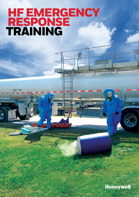# **HF EMERGENCY**  RESPONSE TRAINING

MAX. NET WT. 33-300

Honeywell